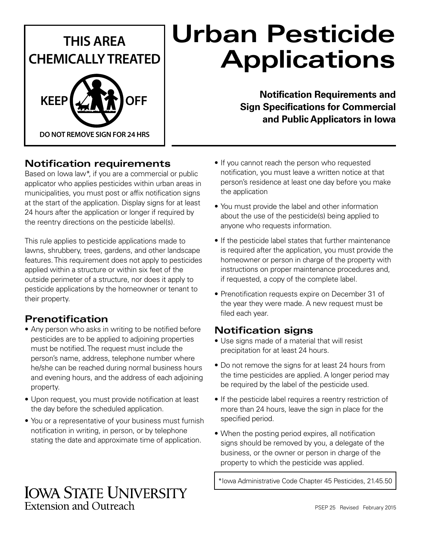

# **Urban Pesticide Applications**

**Notification Requirements and Sign Specifications for Commercial and Public Applicators in Iowa**

# **Notification requirements**

Based on Iowa law\*, if you are a commercial or public applicator who applies pesticides within urban areas in municipalities, you must post or affix notification signs at the start of the application. Display signs for at least 24 hours after the application or longer if required by the reentry directions on the pesticide label(s).

This rule applies to pesticide applications made to lawns, shrubbery, trees, gardens, and other landscape features. This requirement does not apply to pesticides applied within a structure or within six feet of the outside perimeter of a structure, nor does it apply to pesticide applications by the homeowner or tenant to their property.

# **Prenotification**

- Any person who asks in writing to be notified before pesticides are to be applied to adjoining properties must be notified. The request must include the person's name, address, telephone number where he/she can be reached during normal business hours and evening hours, and the address of each adjoining property.
- Upon request, you must provide notification at least the day before the scheduled application.
- You or a representative of your business must furnish notification in writing, in person, or by telephone stating the date and approximate time of application.
- If you cannot reach the person who requested notification, you must leave a written notice at that person's residence at least one day before you make the application
- You must provide the label and other information about the use of the pesticide(s) being applied to anyone who requests information.
- If the pesticide label states that further maintenance is required after the application, you must provide the homeowner or person in charge of the property with instructions on proper maintenance procedures and, if requested, a copy of the complete label.
- Prenotification requests expire on December 31 of the year they were made. A new request must be filed each year.

# **Notification signs**

- Use signs made of a material that will resist precipitation for at least 24 hours.
- Do not remove the signs for at least 24 hours from the time pesticides are applied. A longer period may be required by the label of the pesticide used.
- If the pesticide label requires a reentry restriction of more than 24 hours, leave the sign in place for the specified period.
- When the posting period expires, all notification signs should be removed by you, a delegate of the business, or the owner or person in charge of the property to which the pesticide was applied.

\*Iowa Administrative Code Chapter 45 Pesticides, 21.45.50

# **IOWA STATE UNIVERSITY Extension and Outreach**